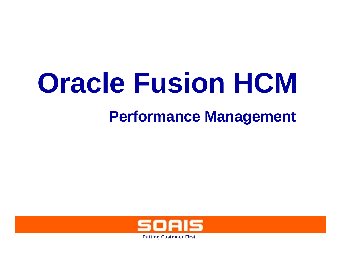# **Oracle Fusion HCM**

# **Performance Management**



**Putting Customer First**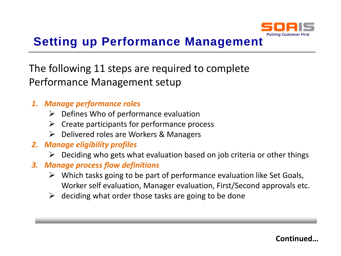

## **Setting up Performance Management**

The following 11 steps are required to complete Performance Management setup

- *1. Manage performance roles* 
	- $\triangleright$  Defines Who of performance evaluation
	- $\triangleright$  Create participants for performance process
	- ➢ Delivered roles are Workers & Managers
- *2. Manage eligibility profiles*
	- $\triangleright$  Deciding who gets what evaluation based on job criteria or other things
- *3. Manage process flow definitions* 
	- $\triangleright$  Which tasks going to be part of performance evaluation like Set Goals, Worker self evaluation, Manager evaluation, First/Second approvals etc.
	- $\triangleright$  deciding what order those tasks are going to be done

#### **Continued…**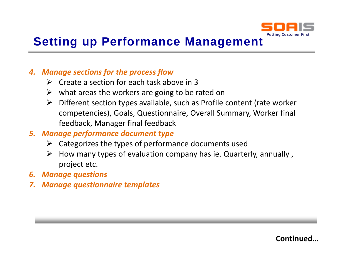

### **Setting up Performance Management**

#### *4. Manage sections for the process flow*

- $\triangleright$  Create a section for each task above in 3
- $\triangleright$  what areas the workers are going to be rated on
- $\triangleright$  Different section types available, such as Profile content (rate worker competencies), Goals, Questionnaire, Overall Summary, Worker final feedback, Manager final feedback

#### *5. Manage performance document type*

- $\triangleright$  Categorizes the types of performance documents used
- $\triangleright$  How many types of evaluation company has ie. Quarterly, annually, project etc.
- *6. Manage questions*
- *7. Manage questionnaire templates*

**Continued…**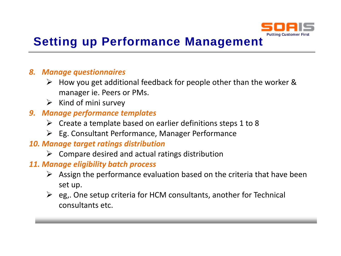

## **Setting up Performance Management**

#### *8. Manage questionnaires*

- $\triangleright$  How you get additional feedback for people other than the worker & manager ie. Peers or PMs.
- $\triangleright$  Kind of mini survey
- *9. Manage performance templates*
	- $\triangleright$  Create a template based on earlier definitions steps 1 to 8
	- ➢ Eg. Consultant Performance, Manager Performance

#### *10. Manage target ratings distribution*

 $\triangleright$  Compare desired and actual ratings distribution

#### *11. Manage eligibility batch process*

- $\triangleright$  Assign the performance evaluation based on the criteria that have been set up.
- $\triangleright$  eg.. One setup criteria for HCM consultants, another for Technical consultants etc.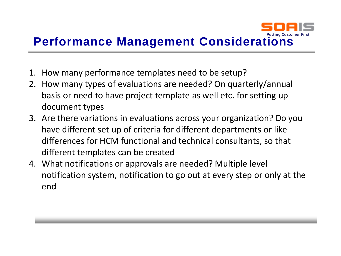

- 1. How many performance templates need to be setup?
- 2. How many types of evaluations are needed? On quarterly/annual basis or need to have project template as well etc. for setting up document types
- 3. Are there variations in evaluations across your organization? Do you have different set up of criteria for different departments or like differences for HCM functional and technical consultants, so that different templates can be created
- 4. What notifications or approvals are needed? Multiple level notification system, notification to go out at every step or only at the end